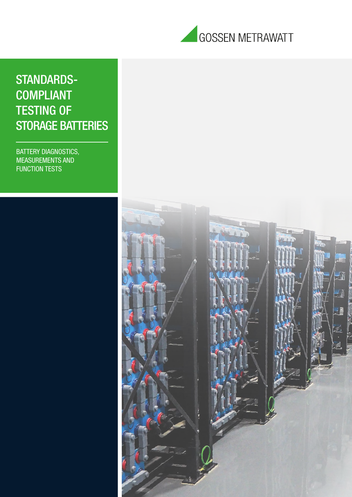

## STANDARDS-COMPLIANT TESTING OF STORAGE BATTERIES

BATTERY DIAGNOSTICS, MEASUREMENTS AND FUNCTION TESTS

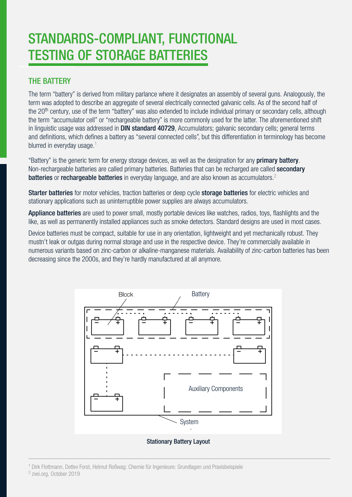# STANDARDS-COMPLIANT, FUNCTIONAL TESTING OF STORAGE BATTERIES

## THE BATTERY

The term "battery" is derived from military parlance where it designates an assembly of several guns. Analogously, the term was adopted to describe an aggregate of several electrically connected galvanic cells. As of the second half of the 20<sup>th</sup> century, use of the term "battery" was also extended to include individual primary or secondary cells, although the term "accumulator cell" or "rechargeable battery" is more commonly used for the latter. The aforementioned shift in linguistic usage was addressed in **DIN standard 40729**. Accumulators: galvanic secondary cells: general terms and definitions, which defines a battery as "several connected cells", but this differentiation in terminology has become blurred in everyday usage. $1$ 

"Battery" is the generic term for energy storage devices, as well as the designation for any **primary battery**. Non-rechargeable batteries are called primary batteries. Batteries that can be recharged are called secondary batteries or rechargeable batteries in everyday language, and are also known as accumulators.<sup>2</sup>

Starter batteries for motor vehicles, traction batteries or deep cycle storage batteries for electric vehicles and stationary applications such as uninterruptible power supplies are always accumulators.

Appliance batteries are used to power small, mostly portable devices like watches, radios, toys, flashlights and the like, as well as permanently installed appliances such as smoke detectors. Standard designs are used in most cases.

Device batteries must be compact, suitable for use in any orientation, lightweight and yet mechanically robust. They mustn't leak or outgas during normal storage and use in the respective device. They're commercially available in numerous variants based on zinc-carbon or alkaline-manganese materials. Availability of zinc-carbon batteries has been decreasing since the 2000s, and they're hardly manufactured at all anymore.



Stationary Battery Layout

<sup>1</sup> Dirk Flottmann, Detlev Forst, Helmut Roßwag: Chemie für Ingenieure: Grundlagen und Praxisbeispiele 2 zvei.org, October 2019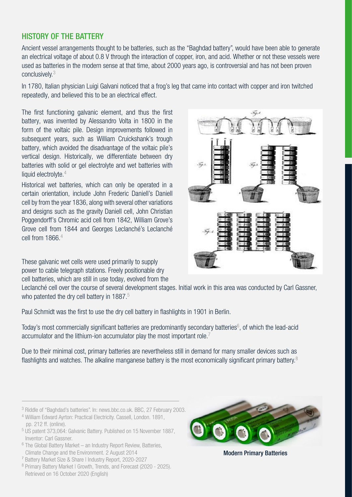## HISTORY OF THE BATTERY

Ancient vessel arrangements thought to be batteries, such as the "Baghdad battery", would have been able to generate an electrical voltage of about 0.8 V through the interaction of copper, iron, and acid. Whether or not these vessels were used as batteries in the modern sense at that time, about 2000 years ago, is controversial and has not been proven conclusively.3

In 1780, Italian physician Luigi Galvani noticed that a frog's leg that came into contact with copper and iron twitched repeatedly, and believed this to be an electrical effect.

The first functioning galvanic element, and thus the first battery, was invented by Alessandro Volta in 1800 in the form of the voltaic pile. Design improvements followed in subsequent years, such as William Cruickshank's trough battery, which avoided the disadvantage of the voltaic pile's vertical design. Historically, we differentiate between dry batteries with solid or gel electrolyte and wet batteries with liquid electrolyte.<sup>4</sup>

Historical wet batteries, which can only be operated in a certain orientation, include John Frederic Daniell's Daniell cell by from the year 1836, along with several other variations and designs such as the gravity Daniell cell, John Christian Poggendorff's Chromic acid cell from 1842, William Grove's Grove cell from 1844 and Georges Leclanché's Leclanché cell from  $1866<sup>4</sup>$ 

These galvanic wet cells were used primarily to supply power to cable telegraph stations. Freely positionable dry cell batteries, which are still in use today, evolved from the



Leclanché cell over the course of several development stages. Initial work in this area was conducted by Carl Gassner, who patented the dry cell battery in 1887.<sup>5</sup>

Paul Schmidt was the first to use the dry cell battery in flashlights in 1901 in Berlin.

Today's most commercially significant batteries are predominantly secondary batteries<sup>6</sup>, of which the lead-acid accumulator and the lithium-ion accumulator play the most important role.<sup>7</sup>

Due to their minimal cost, primary batteries are nevertheless still in demand for many smaller devices such as flashlights and watches. The alkaline manganese battery is the most economically significant primary battery.<sup>8</sup>

- 4 William Edward Ayrton: Practical Electricity. Cassell, London. 1891, pp. 212 ff. (online).
- 5 US patent 373,064: Galvanic Battery. Published on 15 November 1887, Inventor: Carl Gassner.
- $6$  The Global Battery Market an Industry Report Review, Batteries, Climate Change and the Environment. 2 August 2014
- ⁷ Battery Market Size & Share | Industry Report, 2020-2027
- 8 Primary Battery Market | Growth, Trends, and Forecast (2020 2025). Retrieved on 16 October 2020 (English)



Modern Primary Batteries

<sup>3</sup> Riddle of "Baghdad's batteries". In: news.bbc.co.uk. BBC, 27 February 2003.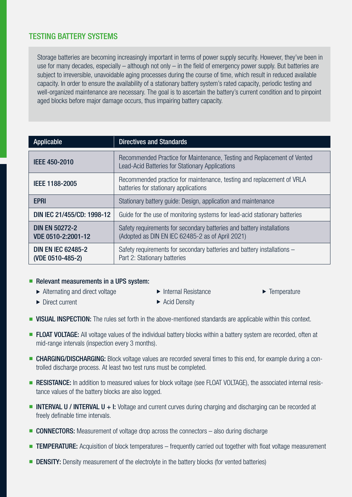## TESTING BATTERY SYSTEMS

Storage batteries are becoming increasingly important in terms of power supply security. However, they've been in use for many decades, especially – although not only – in the field of emergency power supply. But batteries are subject to irreversible, unavoidable aging processes during the course of time, which result in reduced available capacity. In order to ensure the availability of a stationary battery system's rated capacity, periodic testing and well-organized maintenance are necessary. The goal is to ascertain the battery's current condition and to pinpoint aged blocks before major damage occurs, thus impairing battery capacity.

| Applicable                                    | <b>Directives and Standards</b>                                                                                                   |
|-----------------------------------------------|-----------------------------------------------------------------------------------------------------------------------------------|
| IEEE 450-2010                                 | Recommended Practice for Maintenance, Testing and Replacement of Vented<br><b>Lead-Acid Batteries for Stationary Applications</b> |
| IEEE 1188-2005                                | Recommended practice for maintenance, testing and replacement of VRLA<br>batteries for stationary applications                    |
| <b>EPRI</b>                                   | Stationary battery guide: Design, application and maintenance                                                                     |
| DIN IEC 21/455/CD: 1998-12                    | Guide for the use of monitoring systems for lead-acid stationary batteries                                                        |
| <b>DIN EN 50272-2</b><br>VDE 0510-2:2001-12   | Safety requirements for secondary batteries and battery installations<br>(Adopted as DIN EN IEC 62485-2 as of April 2021)         |
| <b>DIN EN IEC 62485-2</b><br>(VDE 0510-485-2) | Safety requirements for secondary batteries and battery installations –<br>Part 2: Stationary batteries                           |

### $\blacksquare$  Relevant measurements in a UPS system:

- $\blacktriangleright$  Alternating and direct voltage
- $\blacktriangleright$  Internal Resistance
- $\blacktriangleright$  Temperature

 $\blacktriangleright$  Direct current

- $\blacktriangleright$  Acid Density
- **NISUAL INSPECTION:** The rules set forth in the above-mentioned standards are applicable within this context.
- **FLOAT VOLTAGE:** All voltage values of the individual battery blocks within a battery system are recorded, often at mid-range intervals (inspection every 3 months).
- **EXTERGING/DISCHARGING:** Block voltage values are recorded several times to this end, for example during a controlled discharge process. At least two test runs must be completed.
- **RESISTANCE:** In addition to measured values for block voltage (see FLOAT VOLTAGE), the associated internal resistance values of the battery blocks are also logged.
- **n INTERVAL U / INTERVAL U + I:** Voltage and current curves during charging and discharging can be recorded at freely definable time intervals.
- **CONNECTORS:** Measurement of voltage drop across the connectors also during discharge
- **TEMPERATURE:** Acquisition of block temperatures frequently carried out together with float voltage measurement
- **DENSITY:** Density measurement of the electrolyte in the battery blocks (for vented batteries)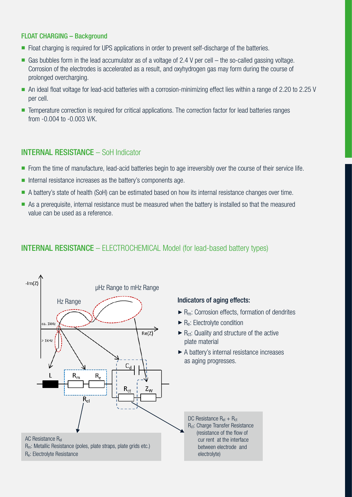#### FLOAT CHARGING – Background

- Float charging is required for UPS applications in order to prevent self-discharge of the batteries.
- Gas bubbles form in the lead accumulator as of a voltage of 2.4 V per cell the so-called gassing voltage. Corrosion of the electrodes is accelerated as a result, and oxyhydrogen gas may form during the course of prolonged overcharging.
- n An ideal float voltage for lead-acid batteries with a corrosion-minimizing effect lies within a range of 2.20 to 2.25 V per cell.
- Temperature correction is required for critical applications. The correction factor for lead batteries ranges from -0.004 to -0.003 V/K.

## INTERNAL RESISTANCE – SoH Indicator

- n From the time of manufacture, lead-acid batteries begin to age irreversibly over the course of their service life.
- $\blacksquare$  Internal resistance increases as the battery's components age.
- n A battery's state of health (SoH) can be estimated based on how its internal resistance changes over time.
- n As a prerequisite, internal resistance must be measured when the battery is installed so that the measured value can be used as a reference.

## INTERNAL RESISTANCE – ELECTROCHEMICAL Model (for lead-based battery types)

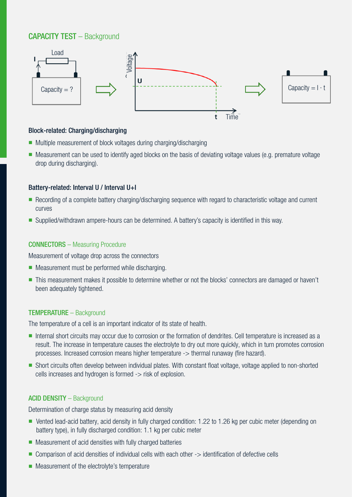## CAPACITY TEST – Background



#### Block-related: Charging/discharging

- Multiple measurement of block voltages during charging/discharging
- n Measurement can be used to identify aged blocks on the basis of deviating voltage values (e.g. premature voltage drop during discharging).

#### Battery-related: Interval U / Interval U+I

- Recording of a complete battery charging/discharging sequence with regard to characteristic voltage and current curves
- Supplied/withdrawn ampere-hours can be determined. A battery's capacity is identified in this way.

#### CONNECTORS – Measuring Procedure

Measurement of voltage drop across the connectors

- Measurement must be performed while discharging.
- n This measurement makes it possible to determine whether or not the blocks' connectors are damaged or haven't been adequately tightened.

#### TEMPERATURE – Background

The temperature of a cell is an important indicator of its state of health.

- n Internal short circuits may occur due to corrosion or the formation of dendrites. Cell temperature is increased as a result. The increase in temperature causes the electrolyte to dry out more quickly, which in turn promotes corrosion processes. Increased corrosion means higher temperature -> thermal runaway (fire hazard).
- n Short circuits often develop between individual plates. With constant float voltage, voltage applied to non-shorted cells increases and hydrogen is formed -> risk of explosion.

#### ACID DENSITY – Background

Determination of charge status by measuring acid density

- Vented lead-acid battery, acid density in fully charged condition: 1.22 to 1.26 kg per cubic meter (depending on battery type), in fully discharged condition: 1.1 kg per cubic meter
- $\blacksquare$  Measurement of acid densities with fully charged batteries
- Comparison of acid densities of individual cells with each other -> identification of defective cells
- $\blacksquare$  Measurement of the electrolyte's temperature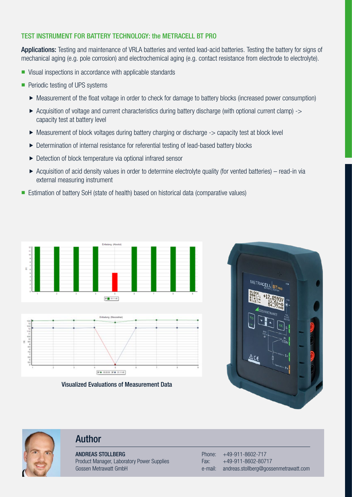## TEST INSTRUMENT FOR BATTERY TECHNOLOGY: the METRACELL BT PRO

Applications: Testing and maintenance of VRLA batteries and vented lead-acid batteries. Testing the battery for signs of mechanical aging (e.g. pole corrosion) and electrochemical aging (e.g. contact resistance from electrode to electrolyte).

- $\blacksquare$  Visual inspections in accordance with applicable standards
- $\blacksquare$  Periodic testing of UPS systems
	- Measurement of the float voltage in order to check for damage to battery blocks (increased power consumption)
	- $\triangleright$  Acquisition of voltage and current characteristics during battery discharge (with optional current clamp)  $\rightarrow$ capacity test at battery level
	- $\triangleright$  Measurement of block voltages during battery charging or discharge  $\cdot$   $>$  capacity test at block level
	- ▶ Determination of internal resistance for referential testing of lead-based battery blocks
	- $\triangleright$  Detection of block temperature via optional infrared sensor
	- $\triangleright$  Acquisition of acid density values in order to determine electrolyte quality (for vented batteries) read-in via external measuring instrument
- Estimation of battery SoH (state of health) based on historical data (comparative values)



Visualized Evaluations of Measurement Data

 $\boxed{\nabla \bullet \text{ norm } \nabla \bullet \text{ or } \nabla s}$ 





## Author

ANDREAS STOLLBERG Product Manager, Laboratory Power Supplies Gossen Metrawatt GmbH

Phone: +49-911-8602-717 Fax: +49-911-8602-80717 e-mail: andreas.stollberg@gossenmetrawatt.com